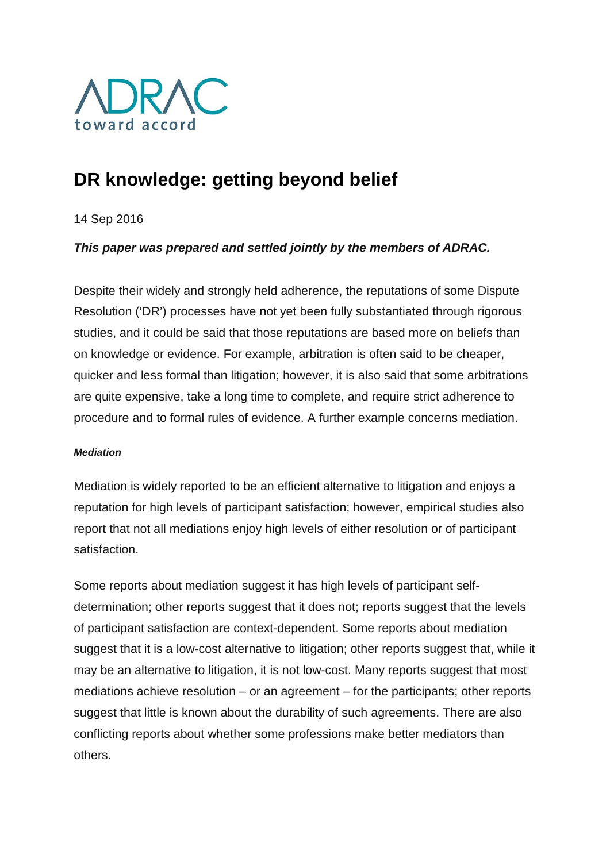

# **DR knowledge: getting beyond belief**

14 Sep 2016

## *This paper was prepared and settled jointly by the members of ADRAC.*

Despite their widely and strongly held adherence, the reputations of some Dispute Resolution ('DR') processes have not yet been fully substantiated through rigorous studies, and it could be said that those reputations are based more on beliefs than on knowledge or evidence. For example, arbitration is often said to be cheaper, quicker and less formal than litigation; however, it is also said that some arbitrations are quite expensive, take a long time to complete, and require strict adherence to procedure and to formal rules of evidence. A further example concerns mediation.

## *Mediation*

Mediation is widely reported to be an efficient alternative to litigation and enjoys a reputation for high levels of participant satisfaction; however, empirical studies also report that not all mediations enjoy high levels of either resolution or of participant satisfaction.

Some reports about mediation suggest it has high levels of participant selfdetermination; other reports suggest that it does not; reports suggest that the levels of participant satisfaction are context-dependent. Some reports about mediation suggest that it is a low-cost alternative to litigation; other reports suggest that, while it may be an alternative to litigation, it is not low-cost. Many reports suggest that most mediations achieve resolution – or an agreement – for the participants; other reports suggest that little is known about the durability of such agreements. There are also conflicting reports about whether some professions make better mediators than others.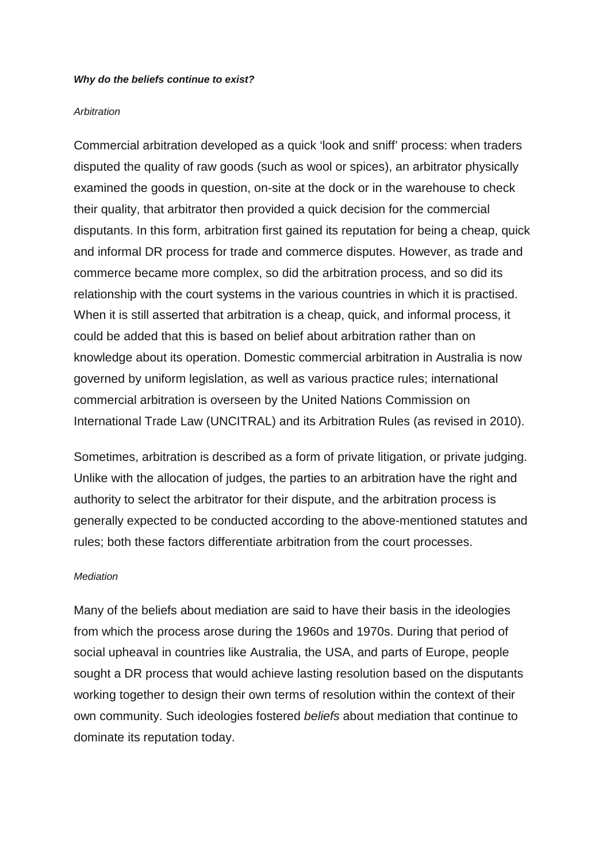#### *Why do the beliefs continue to exist?*

#### *Arbitration*

Commercial arbitration developed as a quick 'look and sniff' process: when traders disputed the quality of raw goods (such as wool or spices), an arbitrator physically examined the goods in question, on-site at the dock or in the warehouse to check their quality, that arbitrator then provided a quick decision for the commercial disputants. In this form, arbitration first gained its reputation for being a cheap, quick and informal DR process for trade and commerce disputes. However, as trade and commerce became more complex, so did the arbitration process, and so did its relationship with the court systems in the various countries in which it is practised. When it is still asserted that arbitration is a cheap, quick, and informal process, it could be added that this is based on belief about arbitration rather than on knowledge about its operation. Domestic commercial arbitration in Australia is now governed by uniform legislation, as well as various practice rules; international commercial arbitration is overseen by the United Nations Commission on International Trade Law (UNCITRAL) and its Arbitration Rules (as revised in 2010).

Sometimes, arbitration is described as a form of private litigation, or private judging. Unlike with the allocation of judges, the parties to an arbitration have the right and authority to select the arbitrator for their dispute, and the arbitration process is generally expected to be conducted according to the above-mentioned statutes and rules; both these factors differentiate arbitration from the court processes.

## *Mediation*

Many of the beliefs about mediation are said to have their basis in the ideologies from which the process arose during the 1960s and 1970s. During that period of social upheaval in countries like Australia, the USA, and parts of Europe, people sought a DR process that would achieve lasting resolution based on the disputants working together to design their own terms of resolution within the context of their own community. Such ideologies fostered *beliefs* about mediation that continue to dominate its reputation today.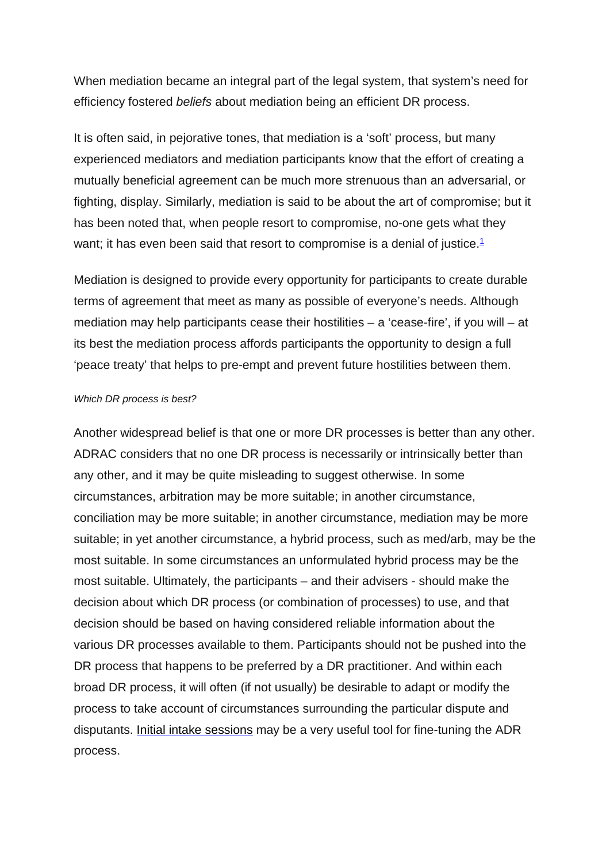When mediation became an integral part of the legal system, that system's need for efficiency fostered *beliefs* about mediation being an efficient DR process.

It is often said, in pejorative tones, that mediation is a 'soft' process, but many experienced mediators and mediation participants know that the effort of creating a mutually beneficial agreement can be much more strenuous than an adversarial, or fighting, display. Similarly, mediation is said to be about the art of compromise; but it has been noted that, when people resort to compromise, no-one gets what they want; it has even been said that resort to compromise is a denial of justice.<sup>[1](http://www.adrac.org.au/adr-mapping/dr-knowledge-getting-beyond-belief#note1)</sup>

Mediation is designed to provide every opportunity for participants to create durable terms of agreement that meet as many as possible of everyone's needs. Although mediation may help participants cease their hostilities – a 'cease-fire', if you will – at its best the mediation process affords participants the opportunity to design a full 'peace treaty' that helps to pre-empt and prevent future hostilities between them.

## *Which DR process is best?*

Another widespread belief is that one or more DR processes is better than any other. ADRAC considers that no one DR process is necessarily or intrinsically better than any other, and it may be quite misleading to suggest otherwise. In some circumstances, arbitration may be more suitable; in another circumstance, conciliation may be more suitable; in another circumstance, mediation may be more suitable; in yet another circumstance, a hybrid process, such as med/arb, may be the most suitable. In some circumstances an unformulated hybrid process may be the most suitable. Ultimately, the participants – and their advisers - should make the decision about which DR process (or combination of processes) to use, and that decision should be based on having considered reliable information about the various DR processes available to them. Participants should not be pushed into the DR process that happens to be preferred by a DR practitioner. And within each broad DR process, it will often (if not usually) be desirable to adapt or modify the process to take account of circumstances surrounding the particular dispute and disputants. Initial intake sessions may be a very useful tool for fine-tuning the ADR process.